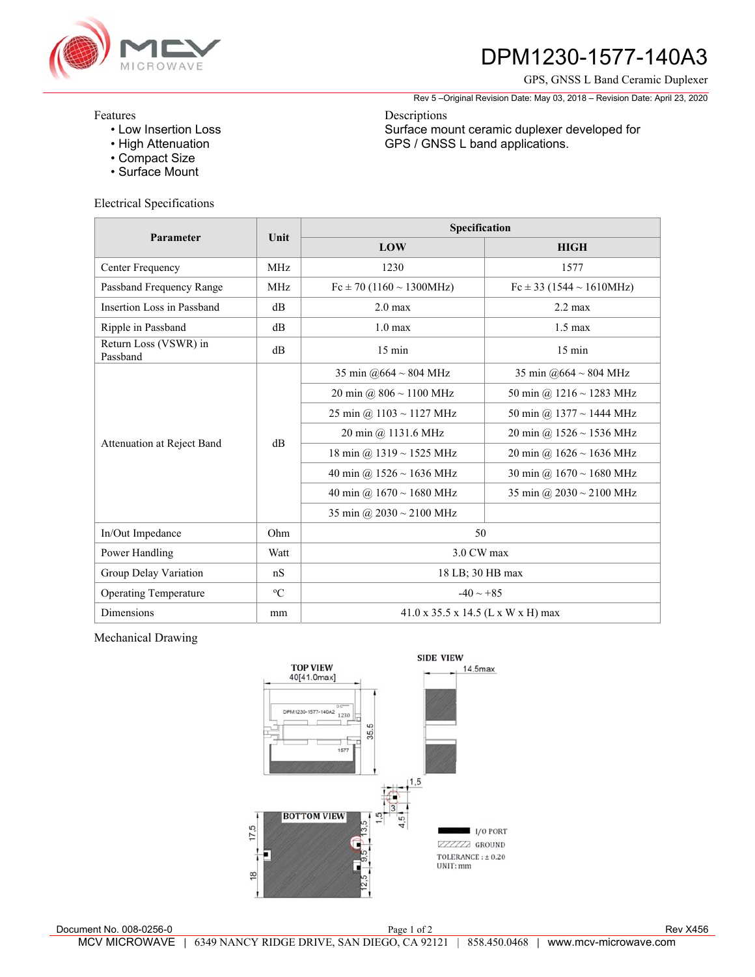

# **DPM1230-1577-140A3**

GPS, GNSS L Band Ceramic Duplexer

Rev 5 –Original Revision Date: May 03, 2018 – Revision Date: April 23, 2020

Surface mount ceramic duplexer developed for

GPS / GNSS L band applications.

### Features

- Low Insertion Loss
- High Attenuation
- Compact Size
- Surface Mount

### Electrical Specifications

| Parameter                         | Unit        | Specification                                  |                               |
|-----------------------------------|-------------|------------------------------------------------|-------------------------------|
|                                   |             | LOW                                            | <b>HIGH</b>                   |
| Center Frequency                  | <b>MHz</b>  | 1230                                           | 1577                          |
| Passband Frequency Range          | <b>MHz</b>  | $Fc \pm 70$ (1160 ~ 1300MHz)                   | $Fc \pm 33$ (1544 ~ 1610MHz)  |
| Insertion Loss in Passband        | dB          | $2.0 \text{ max}$                              | $2.2 \text{ max}$             |
| Ripple in Passband                | dB          | $1.0 \text{ max}$                              | $1.5 \text{ max}$             |
| Return Loss (VSWR) in<br>Passband | $\rm dB$    | $15 \text{ min}$                               | $15 \text{ min}$              |
| Attenuation at Reject Band        | dB          | 35 min @664 $\sim$ 804 MHz                     | 35 min @664 ~ 804 MHz         |
|                                   |             | 20 min @ $806 \sim 1100$ MHz                   | 50 min @ $1216 \sim 1283$ MHz |
|                                   |             | 25 min @ $1103 \sim 1127$ MHz                  | 50 min @ 1377 ~ 1444 MHz      |
|                                   |             | 20 min @ 1131.6 MHz                            | 20 min @ $1526 \sim 1536$ MHz |
|                                   |             | 18 min @ $1319 \sim 1525$ MHz                  | 20 min @ $1626 \sim 1636$ MHz |
|                                   |             | 40 min @ $1526 \sim 1636$ MHz                  | 30 min @ $1670 \sim 1680$ MHz |
|                                   |             | 40 min @ $1670 \sim 1680$ MHz                  | 35 min @ $2030 \sim 2100$ MHz |
|                                   |             | 35 min @ $2030 \sim 2100$ MHz                  |                               |
| In/Out Impedance                  | Ohm         | 50                                             |                               |
| Power Handling                    | Watt        | 3.0 CW max                                     |                               |
| Group Delay Variation             | nS          | 18 LB; 30 HB max                               |                               |
| <b>Operating Temperature</b>      | $\rm ^{o}C$ | $-40 \sim +85$                                 |                               |
| Dimensions                        | mm          | $41.0 \times 35.5 \times 14.5$ (L x W x H) max |                               |

Descriptions

## Mechanical Drawing